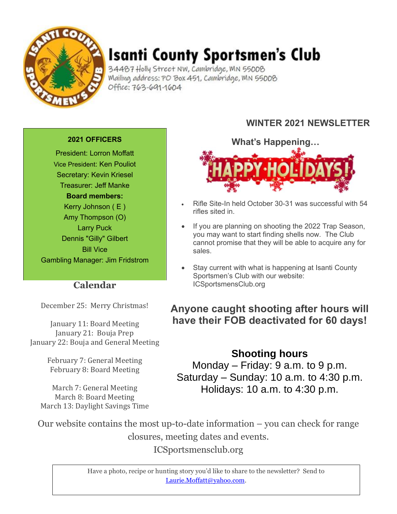

# **Isanti County Sportsmen's Club**

34487 Holly Street NW, Cambridge, MN 55008 Mailing address: PO Box 451, Cambridge, MN 55008 Office: 763-691-1604

#### **2021 OFFICERS**

President: Lorron Moffatt Vice President: Ken Pouliot Secretary: Kevin Kriesel Treasurer: Jeff Manke **Board members:** Kerry Johnson ( E ) Amy Thompson (O) Larry Puck Dennis "Gilly" Gilbert Bill Vice Gambling Manager: Jim Fridstrom

### **Calendar**

December 25: Merry Christmas!

January 11: Board Meeting January 21: Bouja Prep January 22: Bouja and General Meeting

> February 7: General Meeting February 8: Board Meeting

March 7: General Meeting March 8: Board Meeting March 13: Daylight Savings Time

### **WINTER 2021 NEWSLETTER**

**What's Happening…**

- Rifle Site-In held October 30-31 was successful with 54 rifles sited in.
- If you are planning on shooting the 2022 Trap Season, you may want to start finding shells now. The Club cannot promise that they will be able to acquire any for sales.
- Stay current with what is happening at Isanti County Sportsmen's Club with our website: ICSportsmensClub.org

### **Anyone caught shooting after hours will have their FOB deactivated for 60 days!**

**Shooting hours** Monday – Friday: 9 a.m. to 9 p.m. Saturday – Sunday: 10 a.m. to  $4:30$  p.m. Holidays: 10 a.m. to 4:30 p.m.

Our website contains the most up-to-date information – you can check for range closures, meeting dates and events. ICSportsmensclub.org

> Have a photo, recipe or hunting story you'd like to share to the newsletter? Send to [Laurie.Moffatt@yahoo.com.](mailto:Laurie.Moffatt@yahoo.com)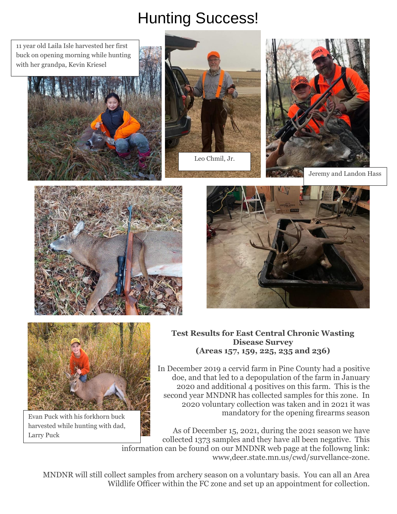# Hunting Success!

11 year old Laila Isle harvested her first buck on opening morning while hunting with her grandpa, Kevin Kriesel













Evan Puck with his forkhorn buck harvested while hunting with dad, Larry Puck

#### **Test Results for East Central Chronic Wasting Disease Survey (Areas 157, 159, 225, 235 and 236)**

In December 2019 a cervid farm in Pine County had a positive doe, and that led to a depopulation of the farm in January 2020 and additional 4 positives on this farm. This is the second year MNDNR has collected samples for this zone. In 2020 voluntary collection was taken and in 2021 it was mandatory for the opening firearms season

As of December 15, 2021, during the 2021 season we have collected 1373 samples and they have all been negative. This information can be found on our MNDNR web page at the followng link: www,deer.state.mn.us/cwd/survellance-zone.

MNDNR will still collect samples from archery season on a voluntary basis. You can all an Area Wildlife Officer within the FC zone and set up an appointment for collection.